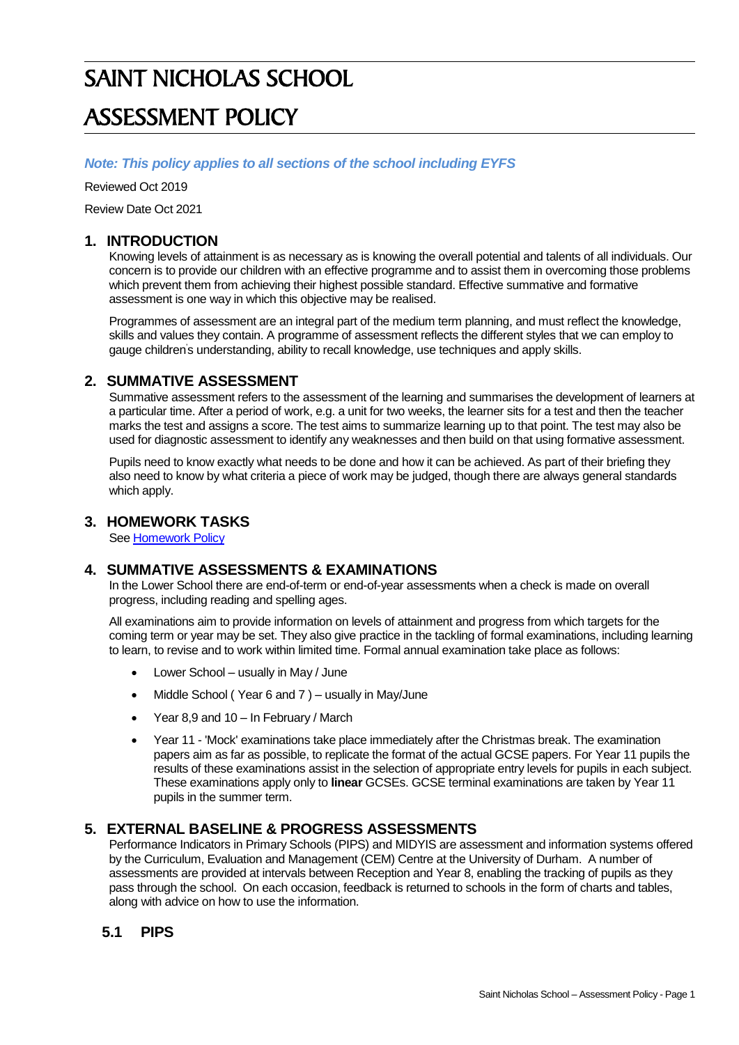# SAINT NICHOLAS SCHOOL ASSESSMENT POLICY

#### *Note: This policy applies to all sections of the school including EYFS*

Reviewed Oct 2019

Review Date Oct 2021

#### **1. INTRODUCTION**

Knowing levels of attainment is as necessary as is knowing the overall potential and talents of all individuals. Our concern is to provide our children with an effective programme and to assist them in overcoming those problems which prevent them from achieving their highest possible standard. Effective summative and formative assessment is one way in which this objective may be realised.

Programmes of assessment are an integral part of the medium term planning, and must reflect the knowledge, skills and values they contain. A programme of assessment reflects the different styles that we can employ to gauge children's understanding, ability to recall knowledge, use techniques and apply skills.

#### **2. SUMMATIVE ASSESSMENT**

Summative assessment refers to the assessment of the learning and summarises the development of learners at a particular time. After a period of work, e.g. a unit for two weeks, the learner sits for a test and then the teacher marks the test and assigns a score. The test aims to summarize learning up to that point. The test may also be used for diagnostic assessment to identify any weaknesses and then build on that using formative assessment.

Pupils need to know exactly what needs to be done and how it can be achieved. As part of their briefing they also need to know by what criteria a piece of work may be judged, though there are always general standards which apply.

#### **3. HOMEWORK TASKS**

Se[e Homework Policy](ftp://u35377691:XRjemJqt@www.saintnicholasschool.net/policies/Homework Policy.doc)

#### **4. SUMMATIVE ASSESSMENTS & EXAMINATIONS**

In the Lower School there are end-of-term or end-of-year assessments when a check is made on overall progress, including reading and spelling ages.

All examinations aim to provide information on levels of attainment and progress from which targets for the coming term or year may be set. They also give practice in the tackling of formal examinations, including learning to learn, to revise and to work within limited time. Formal annual examination take place as follows:

- Lower School usually in May / June
- Middle School (Year 6 and 7) usually in May/June
- Year 8,9 and 10 In February / March
- Year 11 'Mock' examinations take place immediately after the Christmas break. The examination papers aim as far as possible, to replicate the format of the actual GCSE papers. For Year 11 pupils the results of these examinations assist in the selection of appropriate entry levels for pupils in each subject. These examinations apply only to **linear** GCSEs. GCSE terminal examinations are taken by Year 11 pupils in the summer term.

#### **5. EXTERNAL BASELINE & PROGRESS ASSESSMENTS**

Performance Indicators in Primary Schools (PIPS) and MIDYIS are assessment and information systems offered by the Curriculum, Evaluation and Management (CEM) Centre at the University of Durham. A number of assessments are provided at intervals between Reception and Year 8, enabling the tracking of pupils as they pass through the school. On each occasion, feedback is returned to schools in the form of charts and tables, along with advice on how to use the information.

#### **5.1 PIPS**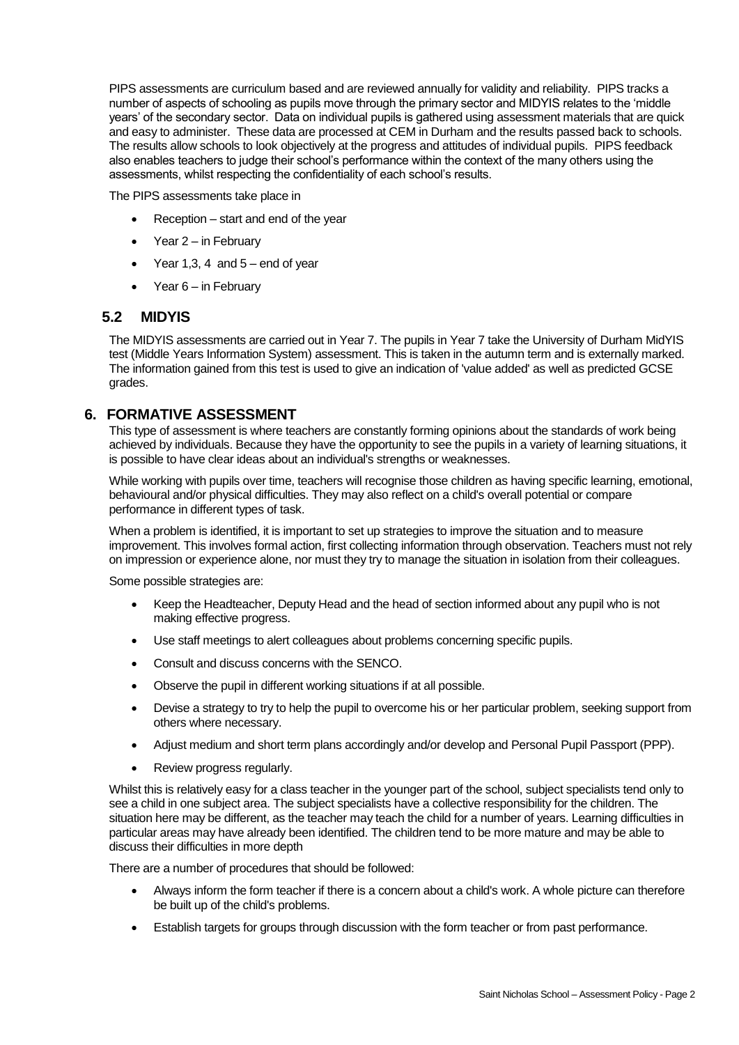PIPS assessments are curriculum based and are reviewed annually for validity and reliability. PIPS tracks a number of aspects of schooling as pupils move through the primary sector and MIDYIS relates to the 'middle years' of the secondary sector. Data on individual pupils is gathered using assessment materials that are quick and easy to administer. These data are processed at CEM in Durham and the results passed back to schools. The results allow schools to look objectively at the progress and attitudes of individual pupils. PIPS feedback also enables teachers to judge their school's performance within the context of the many others using the assessments, whilst respecting the confidentiality of each school's results.

The PIPS assessments take place in

- Reception start and end of the year
- $\bullet$  Year 2 in February
- $\bullet$  Year 1,3, 4 and  $5-$  end of year
- Year 6 in February

#### **5.2 MIDYIS**

The MIDYIS assessments are carried out in Year 7. The pupils in Year 7 take the University of Durham MidYIS test (Middle Years Information System) assessment. This is taken in the autumn term and is externally marked. The information gained from this test is used to give an indication of 'value added' as well as predicted GCSE grades.

#### **6. FORMATIVE ASSESSMENT**

This type of assessment is where teachers are constantly forming opinions about the standards of work being achieved by individuals. Because they have the opportunity to see the pupils in a variety of learning situations, it is possible to have clear ideas about an individual's strengths or weaknesses.

While working with pupils over time, teachers will recognise those children as having specific learning, emotional, behavioural and/or physical difficulties. They may also reflect on a child's overall potential or compare performance in different types of task.

When a problem is identified, it is important to set up strategies to improve the situation and to measure improvement. This involves formal action, first collecting information through observation. Teachers must not rely on impression or experience alone, nor must they try to manage the situation in isolation from their colleagues.

Some possible strategies are:

- Keep the Headteacher, Deputy Head and the head of section informed about any pupil who is not making effective progress.
- Use staff meetings to alert colleagues about problems concerning specific pupils.
- Consult and discuss concerns with the SENCO.
- Observe the pupil in different working situations if at all possible.
- Devise a strategy to try to help the pupil to overcome his or her particular problem, seeking support from others where necessary.
- Adjust medium and short term plans accordingly and/or develop and Personal Pupil Passport (PPP).
- Review progress regularly.

Whilst this is relatively easy for a class teacher in the younger part of the school, subject specialists tend only to see a child in one subject area. The subject specialists have a collective responsibility for the children. The situation here may be different, as the teacher may teach the child for a number of years. Learning difficulties in particular areas may have already been identified. The children tend to be more mature and may be able to discuss their difficulties in more depth

There are a number of procedures that should be followed:

- Always inform the form teacher if there is a concern about a child's work. A whole picture can therefore be built up of the child's problems.
- Establish targets for groups through discussion with the form teacher or from past performance.